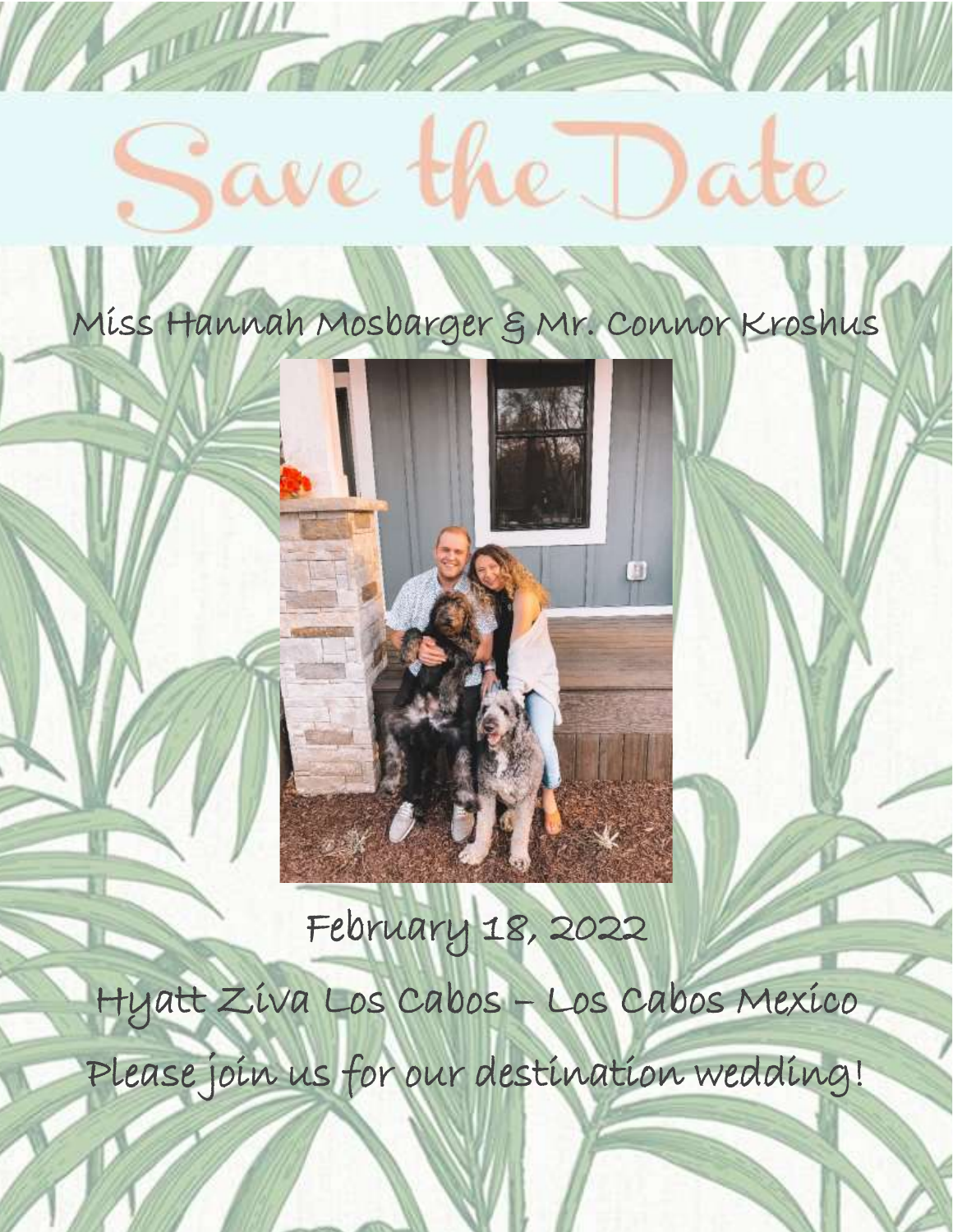# ave the ate

**POLITICA** 

Miss Hannah Mosbarger & Mr. Connor Kroshus

February 18, 2022

Hyatt Ziva Los Cabos – Los Cabos Mexico Please join us for our destination wedding!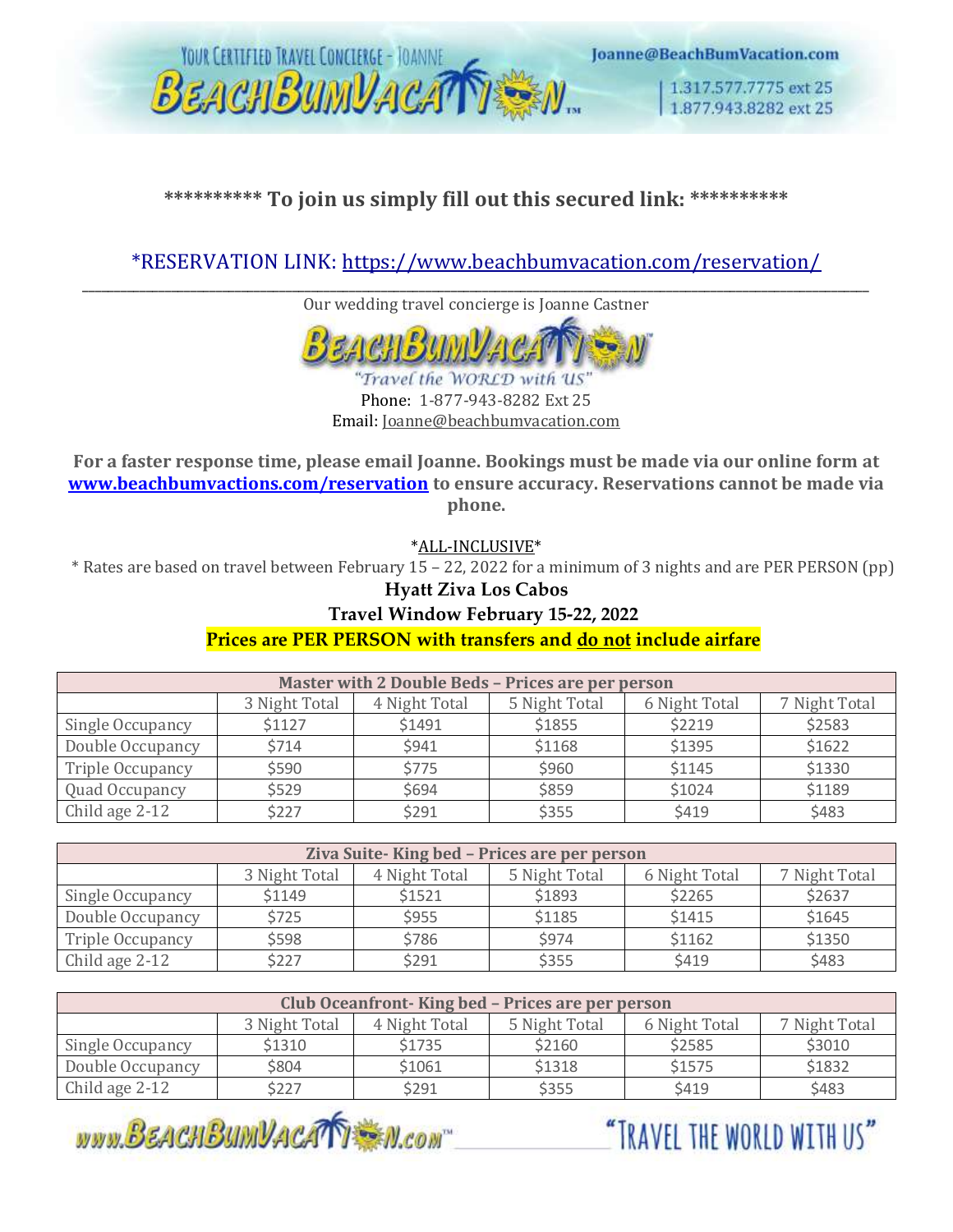

# **\*\*\*\*\*\*\*\*\*\* To join us simply fill out this secured link: \*\*\*\*\*\*\*\*\*\***

# \*RESERVATION LINK:<https://www.beachbumvacation.com/reservation/>

\_\_\_\_\_\_\_\_\_\_\_\_\_\_\_\_\_\_\_\_\_\_\_\_\_\_\_\_\_\_\_\_\_\_\_\_\_\_\_\_\_\_\_\_\_\_\_\_\_\_\_\_\_\_\_\_\_\_\_\_\_\_\_\_\_\_\_\_\_\_\_\_\_\_\_\_\_\_\_\_\_\_\_\_\_\_\_\_\_\_\_\_\_\_\_\_\_\_\_\_\_\_\_\_\_\_\_\_\_\_\_\_\_\_\_\_\_\_\_\_\_\_\_\_ Our wedding travel concierge is Joanne Castner



Phone: 1-877-943-8282 Ext 25 Email: Joanne@beachbumvacation.com

**For a faster response time, please email Joanne. Bookings must be made via our online form at [www.beachbumvactions.com/reservation](http://www.beachbumvactions.com/reservation) to ensure accuracy. Reservations cannot be made via phone.**

\*ALL-INCLUSIVE\*

\* Rates are based on travel between February 15 – 22, 2022 for a minimum of 3 nights and are PER PERSON (pp)

#### **Hyatt Ziva Los Cabos**

#### **Travel Window February 15-22, 2022**

**Prices are PER PERSON with transfers and do not include airfare**

| <b>Master with 2 Double Beds - Prices are per person</b> |               |               |               |               |               |
|----------------------------------------------------------|---------------|---------------|---------------|---------------|---------------|
|                                                          | 3 Night Total | 4 Night Total | 5 Night Total | 6 Night Total | 7 Night Total |
| Single Occupancy                                         | \$1127        | \$1491        | \$1855        | \$2219        | \$2583        |
| Double Occupancy                                         | \$714         | \$941         | \$1168        | \$1395        | \$1622        |
| Triple Occupancy                                         | \$590         | \$775         | \$960         | \$1145        | \$1330        |
| Quad Occupancy                                           | \$529         | \$694         | \$859         | \$1024        | \$1189        |
| Child age 2-12                                           | \$227         | \$291         | \$355         | \$419         | \$483         |

| Ziva Suite-King bed - Prices are per person |               |               |               |               |               |
|---------------------------------------------|---------------|---------------|---------------|---------------|---------------|
|                                             | 3 Night Total | 4 Night Total | 5 Night Total | 6 Night Total | 7 Night Total |
| Single Occupancy                            | \$1149        | \$1521        | \$1893        | \$2265        | \$2637        |
| Double Occupancy                            | \$725         | \$955         | \$1185        | \$1415        | \$1645        |
| Triple Occupancy                            | \$598         | \$786         | \$974         | \$1162        | \$1350        |
| Child age 2-12                              | \$227         | \$291         | \$355         | \$419         | \$483         |

| Club Oceanfront-King bed - Prices are per person |               |               |               |               |               |
|--------------------------------------------------|---------------|---------------|---------------|---------------|---------------|
|                                                  | 3 Night Total | 4 Night Total | 5 Night Total | 6 Night Total | 7 Night Total |
| Single Occupancy                                 | \$1310        | \$1735        | \$2160        | \$2585        | \$3010        |
| Double Occupancy                                 | \$804         | \$1061        | \$1318        | \$1575        | \$1832        |
| Child age 2-12                                   | \$227         | \$291         | \$355         | <b>\$419</b>  | \$483         |

WWW.BEACHBUMVACATI M.CON

"TRAVEL THE WORLD WITH US"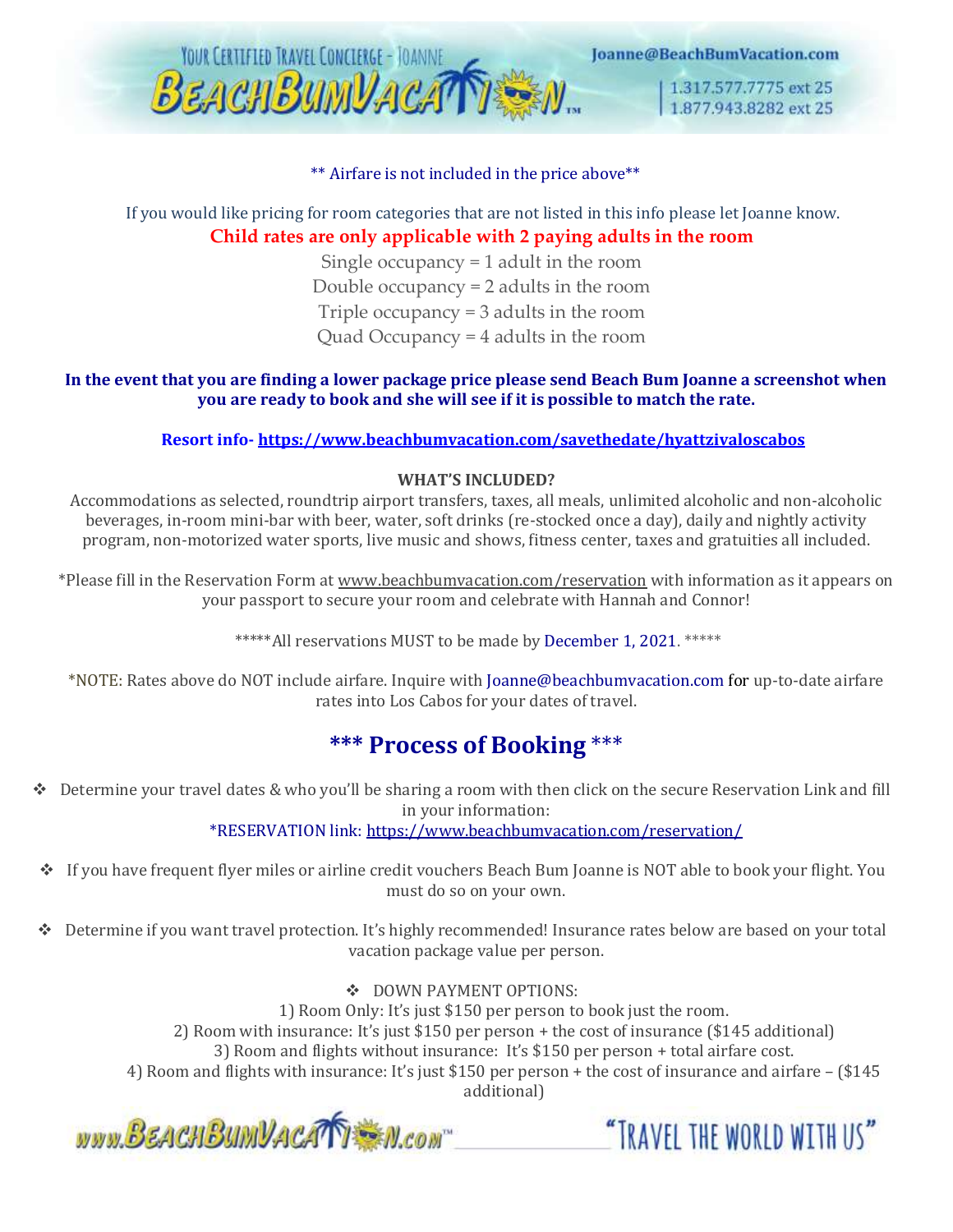

#### \*\* Airfare is not included in the price above\*\*

### If you would like pricing for room categories that are not listed in this info please let Joanne know. **Child rates are only applicable with 2 paying adults in the room**

Single occupancy = 1 adult in the room Double occupancy = 2 adults in the room Triple occupancy = 3 adults in the room Quad Occupancy = 4 adults in the room

#### **In the event that you are finding a lower package price please send Beach Bum Joanne a screenshot when you are ready to book and she will see if it is possible to match the rate.**

#### **Resort info- <https://www.beachbumvacation.com/savethedate/hyattzivaloscabos>**

#### **WHAT'S INCLUDED?**

Accommodations as selected, roundtrip airport transfers, taxes, all meals, unlimited alcoholic and non-alcoholic beverages, in-room mini-bar with beer, water, soft drinks (re-stocked once a day), daily and nightly activity program, non-motorized water sports, live music and shows, fitness center, taxes and gratuities all included.

\*Please fill in the Reservation Form at [www.beachbumvacation.com/reservation](http://www.beachbumvacation.com/reservation) with information as it appears on your passport to secure your room and celebrate with Hannah and Connor!

\*\*\*\*\*All reservations MUST to be made by December 1, 2021. \*\*\*\*\*

\*NOTE: Rates above do NOT include airfare. Inquire with Joanne@beachbumvacation.com for up-to-date airfare rates into Los Cabos for your dates of travel.

# **\*\*\* Process of Booking** \*\*\*

❖ Determine your travel dates & who you'll be sharing a room with then click on the secure Reservation Link and fill in your information:

\*RESERVATION link[: https://www.beachbumvacation.com/reservation/](https://www.beachbumvacation.com/reservation/)

- ❖ If you have frequent flyer miles or airline credit vouchers Beach Bum Joanne is NOT able to book your flight. You must do so on your own.
- ❖ Determine if you want travel protection. It's highly recommended! Insurance rates below are based on your total vacation package value per person.

❖ DOWN PAYMENT OPTIONS:

1) Room Only: It's just \$150 per person to book just the room. 2) Room with insurance: It's just \$150 per person + the cost of insurance (\$145 additional) 3) Room and flights without insurance: It's \$150 per person + total airfare cost. 4) Room and flights with insurance: It's just \$150 per person + the cost of insurance and airfare – (\$145 additional)

"TRAVEL THE WORLD WITH US"

www.BEACHBUMVACATY M.com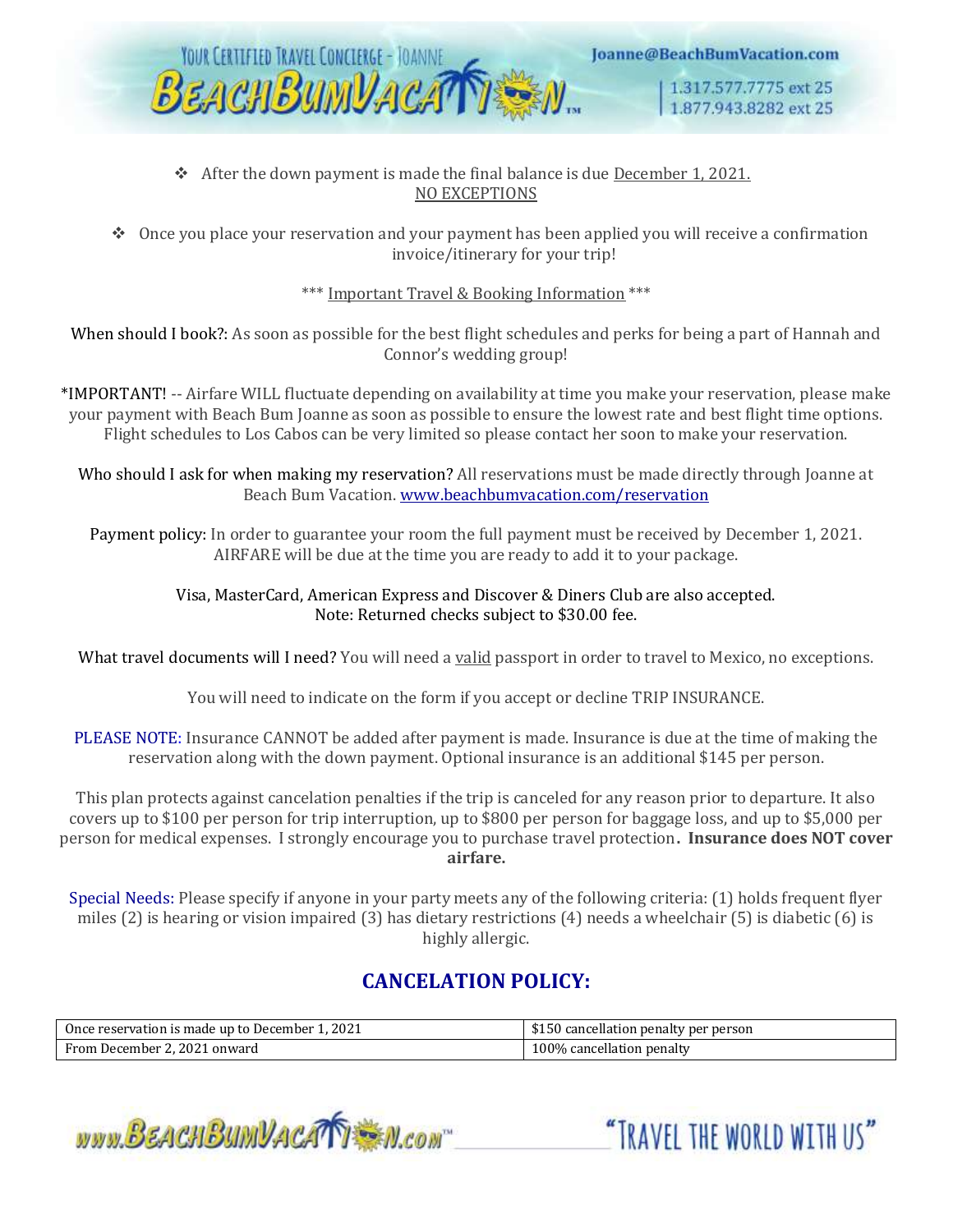

#### ❖ After the down payment is made the final balance is due December 1, 2021. NO EXCEPTIONS

❖ Once you place your reservation and your payment has been applied you will receive a confirmation invoice/itinerary for your trip!

\*\*\* Important Travel & Booking Information \*\*\*

When should I book?: As soon as possible for the best flight schedules and perks for being a part of Hannah and Connor's wedding group!

\*IMPORTANT! -- Airfare WILL fluctuate depending on availability at time you make your reservation, please make your payment with Beach Bum Joanne as soon as possible to ensure the lowest rate and best flight time options. Flight schedules to Los Cabos can be very limited so please contact her soon to make your reservation.

Who should I ask for when making my reservation? All reservations must be made directly through Joanne at Beach Bum Vacation. [www.beachbumvacation.com/reservation](http://www.beachbumvacation.com/reservation)

Payment policy: In order to guarantee your room the full payment must be received by December 1, 2021. AIRFARE will be due at the time you are ready to add it to your package.

#### Visa, MasterCard, American Express and Discover & Diners Club are also accepted. Note: Returned checks subject to \$30.00 fee.

What travel documents will I need? You will need a valid passport in order to travel to Mexico, no exceptions.

You will need to indicate on the form if you accept or decline TRIP INSURANCE.

PLEASE NOTE: Insurance CANNOT be added after payment is made. Insurance is due at the time of making the reservation along with the down payment. Optional insurance is an additional \$145 per person.

This plan protects against cancelation penalties if the trip is canceled for any reason prior to departure. It also covers up to \$100 per person for trip interruption, up to \$800 per person for baggage loss, and up to \$5,000 per person for medical expenses. I strongly encourage you to purchase travel protection**. Insurance does NOT cover airfare.**

Special Needs: Please specify if anyone in your party meets any of the following criteria: (1) holds frequent flyer miles (2) is hearing or vision impaired (3) has dietary restrictions (4) needs a wheelchair (5) is diabetic (6) is highly allergic.

# **CANCELATION POLICY:**

| Once reservation is made up to December 1, 2021 | \$150 cancellation penalty per person |  |
|-------------------------------------------------|---------------------------------------|--|
| From December 2, 2021 onward                    | 100% cancellation penalty             |  |